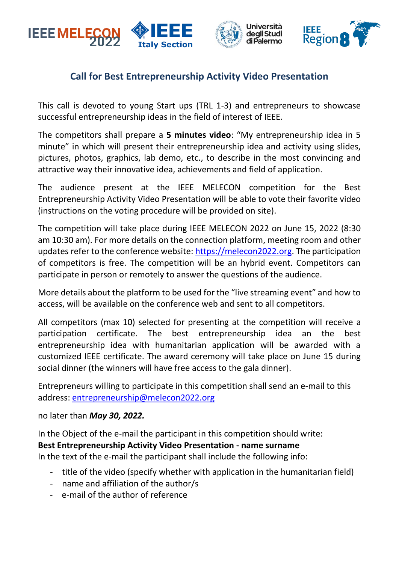

## **Call for Best Entrepreneurship Activity Video Presentation**

This call is devoted to young Start ups (TRL 1-3) and entrepreneurs to showcase successful entrepreneurship ideas in the field of interest of IEEE.

The competitors shall prepare a **5 minutes video**: "My entrepreneurship idea in 5 minute" in which will present their entrepreneurship idea and activity using slides, pictures, photos, graphics, lab demo, etc., to describe in the most convincing and attractive way their innovative idea, achievements and field of application.

The audience present at the IEEE MELECON competition for the Best Entrepreneurship Activity Video Presentation will be able to vote their favorite video (instructions on the voting procedure will be provided on site).

The competition will take place during IEEE MELECON 2022 on June 15, 2022 (8:30 am 10:30 am). For more details on the connection platform, meeting room and other updates refer to the conference website: [https://melecon2022.org.](https://melecon2022.org/) The participation of competitors is free. The competition will be an hybrid event. Competitors can participate in person or remotely to answer the questions of the audience.

More details about the platform to be used for the "live streaming event" and how to access, will be available on the conference web and sent to all competitors.

All competitors (max 10) selected for presenting at the competition will receive a participation certificate. The best entrepreneurship idea an the best entrepreneurship idea with humanitarian application will be awarded with a customized IEEE certificate. The award ceremony will take place on June 15 during social dinner (the winners will have free access to the gala dinner).

Entrepreneurs willing to participate in this competition shall send an e-mail to this address: [entrepreneurship@melecon2022.org](mailto:entrepreneurship@melecon2022.org)

no later than *May 30, 2022.*

In the Object of the e-mail the participant in this competition should write:

## **Best Entrepreneurship Activity Video Presentation - name surname**

In the text of the e-mail the participant shall include the following info:

- title of the video (specify whether with application in the humanitarian field)
- name and affiliation of the author/s
- e-mail of the author of reference